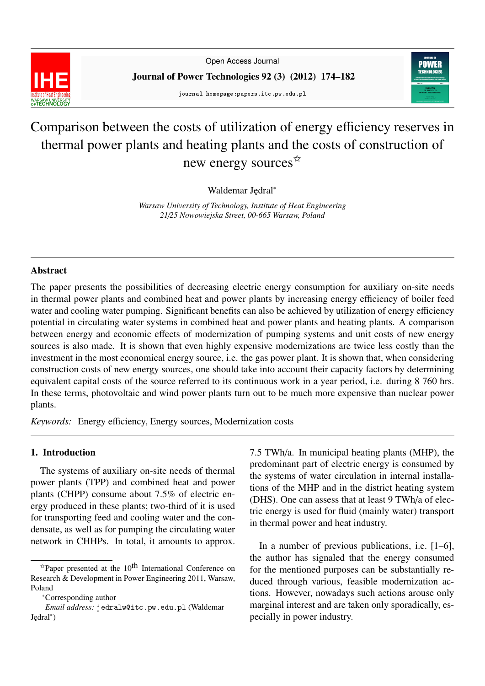

Open Access Journal

Journal of Power Technologies 92 (3) (2012) 174–182

journal homepage:papers.itc.pw.edu.pl



# Comparison between the costs of utilization of energy efficiency reserves in thermal power plants and heating plants and the costs of construction of new energy sources<sup>\*</sup>

Waldemar Jędral<sup>∗</sup>

*Warsaw University of Technology, Institute of Heat Engineering 21*/*25 Nowowiejska Street, 00-665 Warsaw, Poland*

#### Abstract

The paper presents the possibilities of decreasing electric energy consumption for auxiliary on-site needs in thermal power plants and combined heat and power plants by increasing energy efficiency of boiler feed water and cooling water pumping. Significant benefits can also be achieved by utilization of energy efficiency potential in circulating water systems in combined heat and power plants and heating plants. A comparison between energy and economic effects of modernization of pumping systems and unit costs of new energy sources is also made. It is shown that even highly expensive modernizations are twice less costly than the investment in the most economical energy source, i.e. the gas power plant. It is shown that, when considering construction costs of new energy sources, one should take into account their capacity factors by determining equivalent capital costs of the source referred to its continuous work in a year period, i.e. during 8 760 hrs. In these terms, photovoltaic and wind power plants turn out to be much more expensive than nuclear power plants.

*Keywords:* Energy efficiency, Energy sources, Modernization costs

#### 1. Introduction

The systems of auxiliary on-site needs of thermal power plants (TPP) and combined heat and power plants (CHPP) consume about 7.5% of electric energy produced in these plants; two-third of it is used for transporting feed and cooling water and the condensate, as well as for pumping the circulating water network in CHHPs. In total, it amounts to approx.

7.5 TWh/a. In municipal heating plants (MHP), the predominant part of electric energy is consumed by the systems of water circulation in internal installations of the MHP and in the district heating system (DHS). One can assess that at least 9 TWh/a of electric energy is used for fluid (mainly water) transport in thermal power and heat industry.

In a number of previous publications, i.e. [1–6], the author has signaled that the energy consumed for the mentioned purposes can be substantially reduced through various, feasible modernization actions. However, nowadays such actions arouse only marginal interest and are taken only sporadically, especially in power industry.

 $\hat{z}$ Paper presented at the 10<sup>th</sup> International Conference on Research & Development in Power Engineering 2011, Warsaw, Poland

<sup>∗</sup>Corresponding author

*Email address:* jedralw@itc.pw.edu.pl (Waldemar Jędral<sup>\*</sup>)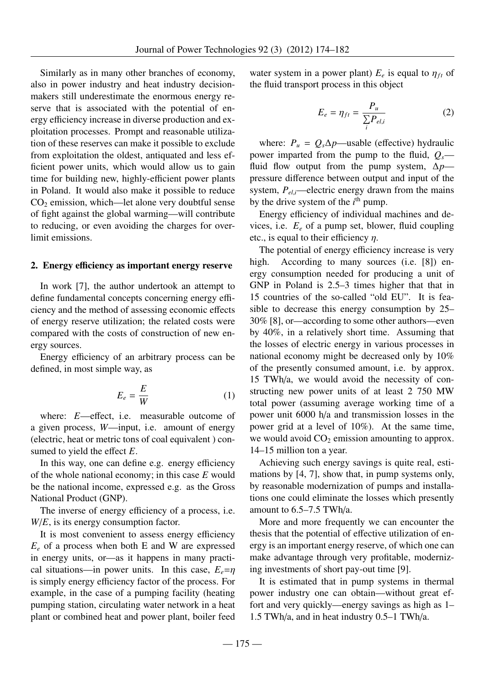Similarly as in many other branches of economy, also in power industry and heat industry decisionmakers still underestimate the enormous energy reserve that is associated with the potential of energy efficiency increase in diverse production and exploitation processes. Prompt and reasonable utilization of these reserves can make it possible to exclude from exploitation the oldest, antiquated and less efficient power units, which would allow us to gain time for building new, highly-efficient power plants in Poland. It would also make it possible to reduce  $CO<sub>2</sub>$  emission, which—let alone very doubtful sense of fight against the global warming—will contribute to reducing, or even avoiding the charges for overlimit emissions.

#### 2. Energy efficiency as important energy reserve

In work [7], the author undertook an attempt to define fundamental concepts concerning energy efficiency and the method of assessing economic effects of energy reserve utilization; the related costs were compared with the costs of construction of new energy sources.

Energy efficiency of an arbitrary process can be defined, in most simple way, as

$$
E_e = \frac{E}{W} \tag{1}
$$

where: *E*—effect, i.e. measurable outcome of a given process, *W*—input, i.e. amount of energy (electric, heat or metric tons of coal equivalent ) consumed to yield the effect *E*.

In this way, one can define e.g. energy efficiency of the whole national economy; in this case *E* would be the national income, expressed e.g. as the Gross National Product (GNP).

The inverse of energy efficiency of a process, i.e. *W*/*E*, is its energy consumption factor.

It is most convenient to assess energy efficiency *E<sup>e</sup>* of a process when both E and W are expressed in energy units, or—as it happens in many practical situations—in power units. In this case,  $E_e = \eta$ is simply energy efficiency factor of the process. For example, in the case of a pumping facility (heating pumping station, circulating water network in a heat plant or combined heat and power plant, boiler feed

water system in a power plant)  $E_e$  is equal to  $\eta_{ft}$  of the fluid transport process in this object the fluid transport process in this object

$$
E_e = \eta_{ft} = \frac{P_u}{\sum_i P_{el,i}}\tag{2}
$$

where:  $P_u = Q_s \Delta p$ —usable (effective) hydraulic power imparted from the pump to the fluid, *Qs* fluid flow output from the pump system, ∆*p* pressure difference between output and input of the system,  $P_{el,i}$ —electric energy drawn from the mains by the drive system of the *i*<sup>th</sup> pump.

Energy efficiency of individual machines and devices, i.e. *E<sup>e</sup>* of a pump set, blower, fluid coupling etc., is equal to their efficiency  $\eta$ .

The potential of energy efficiency increase is very high. According to many sources (i.e. [8]) energy consumption needed for producing a unit of GNP in Poland is 2.5–3 times higher that that in 15 countries of the so-called "old EU". It is feasible to decrease this energy consumption by 25– 30% [8], or—according to some other authors—even by 40%, in a relatively short time. Assuming that the losses of electric energy in various processes in national economy might be decreased only by 10% of the presently consumed amount, i.e. by approx. 15 TWh/a, we would avoid the necessity of constructing new power units of at least 2 750 MW total power (assuming average working time of a power unit 6000 h/a and transmission losses in the power grid at a level of 10%). At the same time, we would avoid  $CO<sub>2</sub>$  emission amounting to approx. 14–15 million ton a year.

Achieving such energy savings is quite real, estimations by [4, 7], show that, in pump systems only, by reasonable modernization of pumps and installations one could eliminate the losses which presently amount to 6.5–7.5 TWh/a.

More and more frequently we can encounter the thesis that the potential of effective utilization of energy is an important energy reserve, of which one can make advantage through very profitable, modernizing investments of short pay-out time [9].

It is estimated that in pump systems in thermal power industry one can obtain—without great effort and very quickly—energy savings as high as 1– 1.5 TWh/a, and in heat industry 0.5–1 TWh/a.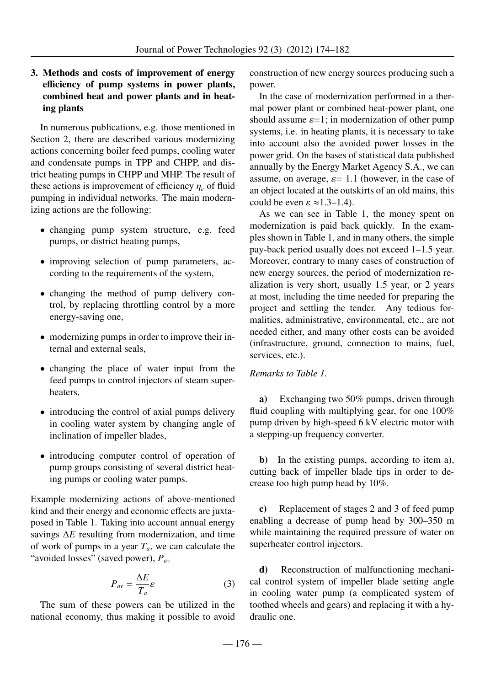### 3. Methods and costs of improvement of energy efficiency of pump systems in power plants, combined heat and power plants and in heating plants

In numerous publications, e.g. those mentioned in Section 2, there are described various modernizing actions concerning boiler feed pumps, cooling water and condensate pumps in TPP and CHPP, and district heating pumps in CHPP and MHP. The result of these actions is improvement of efficiency  $\eta_c$  of fluid pumping in individual networks. The main modernizing actions are the following:

- changing pump system structure, e.g. feed pumps, or district heating pumps,
- improving selection of pump parameters, according to the requirements of the system,
- changing the method of pump delivery control, by replacing throttling control by a more energy-saving one,
- modernizing pumps in order to improve their internal and external seals,
- changing the place of water input from the feed pumps to control injectors of steam superheaters,
- introducing the control of axial pumps delivery in cooling water system by changing angle of inclination of impeller blades,
- introducing computer control of operation of pump groups consisting of several district heating pumps or cooling water pumps.

Example modernizing actions of above-mentioned kind and their energy and economic effects are juxtaposed in Table 1. Taking into account annual energy savings ∆*E* resulting from modernization, and time of work of pumps in a year  $T_a$ , we can calculate the "avoided losses" (saved power), *Pav*

$$
P_{av} = \frac{\Delta E}{T_a} \varepsilon \tag{3}
$$

The sum of these powers can be utilized in the national economy, thus making it possible to avoid

construction of new energy sources producing such a power.

In the case of modernization performed in a thermal power plant or combined heat-power plant, one should assume  $\varepsilon$ =1; in modernization of other pump systems, i.e. in heating plants, it is necessary to take into account also the avoided power losses in the power grid. On the bases of statistical data published annually by the Energy Market Agency S.A., we can assume, on average,  $\varepsilon$  = 1.1 (however, in the case of an object located at the outskirts of an old mains, this could be even  $\varepsilon \approx 1.3-1.4$ ).

As we can see in Table 1, the money spent on modernization is paid back quickly. In the examples shown in Table 1, and in many others, the simple pay-back period usually does not exceed 1–1.5 year. Moreover, contrary to many cases of construction of new energy sources, the period of modernization realization is very short, usually 1.5 year, or 2 years at most, including the time needed for preparing the project and settling the tender. Any tedious formalities, administrative, environmental, etc., are not needed either, and many other costs can be avoided (infrastructure, ground, connection to mains, fuel, services, etc.).

#### *Remarks to Table 1.*

a) Exchanging two 50% pumps, driven through fluid coupling with multiplying gear, for one 100% pump driven by high-speed 6 kV electric motor with a stepping-up frequency converter.

b) In the existing pumps, according to item a), cutting back of impeller blade tips in order to decrease too high pump head by 10%.

c) Replacement of stages 2 and 3 of feed pump enabling a decrease of pump head by 300–350 m while maintaining the required pressure of water on superheater control injectors.

d) Reconstruction of malfunctioning mechanical control system of impeller blade setting angle in cooling water pump (a complicated system of toothed wheels and gears) and replacing it with a hydraulic one.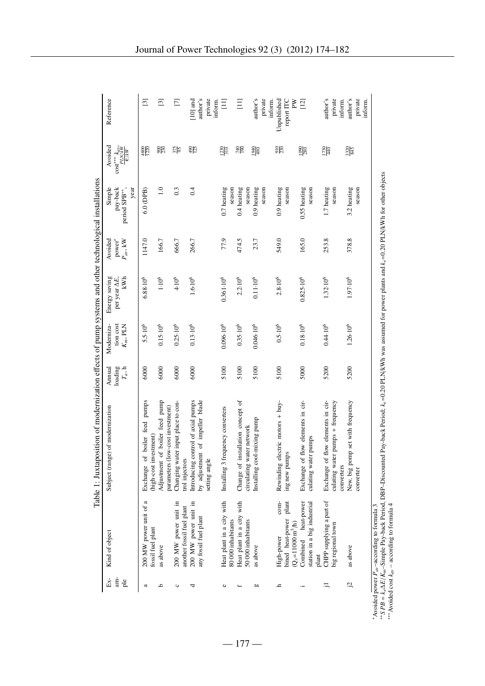|                     |                                                                                       | Table 1: Juxtaposition of modernization effects of pump systems and other technological installations |                                |                                        |                                               |                                                                            |                                            |                                                            |                                              |
|---------------------|---------------------------------------------------------------------------------------|-------------------------------------------------------------------------------------------------------|--------------------------------|----------------------------------------|-----------------------------------------------|----------------------------------------------------------------------------|--------------------------------------------|------------------------------------------------------------|----------------------------------------------|
| $Ex-$<br>am-<br>ple | Kind of object                                                                        | Subject (range) of modernization                                                                      | $T_a$ , h<br>loading<br>Annual | Moderniza-<br>tion cost<br>$K_m$ , PLN | Energy saving<br>kWh<br>per year $\Delta E$ , | Avoided<br>$\operatorname*{power}^{*}_{\mathit{a}\mathit{v}}, \mathit{kW}$ | Simple<br>pay-back<br>year<br>period SPB** | Avoided<br>$\frac{\text{cost}^{***}k_{\alpha\nu}}{PLN/kW}$ | Reference                                    |
| ದ                   | 200 MW power unit of a<br>fossil fuel plant                                           | of boiler feed pumps<br>(high-cost investment)<br>Exchange                                            | 6000                           | $5.5 \cdot 10^{6}$                     | $6.88 \cdot 10^{6}$                           | 1147.0                                                                     | $6.0$ (DPB)                                | 4800                                                       | $\boxed{3}$                                  |
| م                   | as above                                                                              | of boiler feed pump<br>parameters (low-cost investment)<br>Adjustment                                 | 6000                           | $0.15 \cdot 10^{6}$                    | $1.10^{6}$                                    | 166.7                                                                      | 1.0                                        | $\frac{8}{20}$                                             | $\Xi$                                        |
| ပ                   | 200 MW power unit in<br>another fossil fuel plant                                     | Changing water input place to con-<br>trol injectors                                                  | 6000                           | $0.25 \cdot 10^{6}$                    | $4.10^{6}$                                    | 666.7                                                                      | 0.3                                        | $\frac{375}{95}$                                           | $\Box$                                       |
| ರ                   | 200 MW power unit in<br>any fossil fuel plant                                         | Introducing control of axial pumps<br>by adjustment of impeller blade<br>setting angle                | 6000                           | $0.13\!\cdot\!10^6$                    | $1.6{\cdot}10^6$                              | 266.7                                                                      | 0.4                                        | <b>SIS</b>                                                 | author's<br>private<br>$[10]$ and<br>inform. |
| ο                   | Heat plant in a city with<br>80 000 inhabitants                                       | frequency converters<br>Installing 3                                                                  | 5100                           | $0.096 \cdot 10^{6}$                   | $0.361 \cdot 10^{6}$                          | 77.9                                                                       | 0.7 heating<br>season                      | $\frac{1230}{310}$                                         | $\Xi$                                        |
|                     | Heat plant in a city with<br>50 000 inhabitants                                       | installation concept of<br>circulating water network<br>Change of                                     | 5100                           | $0.35 \cdot 10^{6}$                    | $2.2.10^{6}$                                  | 474.5                                                                      | 0.4 heating<br>season                      | $\frac{1}{2}$                                              | $\Xi$                                        |
| 60                  | as above                                                                              | Installing cool-mixing pump                                                                           | 5100                           | $0.046 \cdot 10^{6}$                   | $0.11 \cdot 10^{6}$                           | 23.7                                                                       | 0.9 heating<br>season                      | $rac{66}{100}$                                             | author's<br>private<br>inform.               |
| h,                  | com-<br>plant<br>bined heat-power<br>$(Q_s=11000 \text{ m}^3/\text{h})$<br>High-power | Rewinding electric motors + buy-<br>ing new pumps                                                     | 5100                           | $0.5{\cdot}10^6$                       | $2.8 \cdot 10^{6}$                            | 549.0                                                                      | $0.9$ heating<br>season                    | $\frac{20}{20}$                                            | report ITC<br>Unpublished<br>ξ               |
|                     | heat-power<br>station in a big industrial<br>Combined<br>plant                        | Exchange of flow elements in cir-<br>culating water pumps                                             | 5000                           | $0.18 \cdot 10^{6}$                    | 0.825-10 <sup>6</sup>                         | 165.0                                                                      | 0.55 heating<br>season                     | $\frac{000}{280}$                                          | $[12]$                                       |
| ≔                   | CHPP supplying a part of<br>big regional town                                         | Exchange of flow elements in cir-<br>culating water pumps + frequency<br>converters                   | 5200                           | $0.44 \cdot 10^{6}$                    | 1.32.10 <sup>6</sup>                          | 253.8                                                                      | 1.7 heating<br>season                      | $\frac{1730}{440}$                                         | author's<br>private<br>inform.               |
| ίŠ,                 | as above                                                                              | New, big pomp set with frequency<br>converter                                                         | 5200                           | $1.26 \cdot 10^{6}$                    | 1.97.10 <sup>6</sup>                          | 378.8                                                                      | 3.2 heating<br>season                      | 3320                                                       | author's<br>private<br>inform.               |
|                     | ed power $P_{av}$ -according to formula 3<br>i                                        | $\frac{1}{2}$                                                                                         |                                |                                        |                                               |                                                                            |                                            |                                                            |                                              |

| -according to formula<br>i<br>$\ddot{a}$<br>$\overline{1}$<br>1 power<br>Avoidec<br>こうしょう |
|-------------------------------------------------------------------------------------------|
|                                                                                           |

<sup>\*</sup> Avoided power P<sub>ao</sub>−according to formula 3<br>\*\* S PB = k<sub>e</sub>∆E/K<sub>m</sub>–Simple Pay-back Period, DBP–Discounted Pay-back Period; k<sub>e</sub>=0.20 PLN/kWh was assumed for power plants and k<sub>e</sub>=0.20 PLN/kWh for other objects<br>\*\*\* Avoided *E*/*Km*–Simple Pay-back Period, DBP–Discounted Pay-back Period; *ke*=0.20 PLN/kWh was assumed for power plants and *ke*=0.20 PLN/kWh for other objects ∗∗∗Avoided cost *kav* – according to formula 4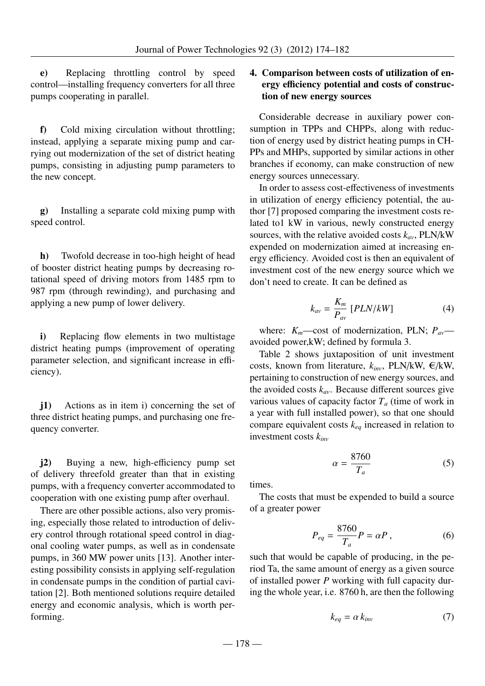e) Replacing throttling control by speed control—installing frequency converters for all three pumps cooperating in parallel.

f) Cold mixing circulation without throttling; instead, applying a separate mixing pump and carrying out modernization of the set of district heating pumps, consisting in adjusting pump parameters to the new concept.

g) Installing a separate cold mixing pump with speed control.

h) Twofold decrease in too-high height of head of booster district heating pumps by decreasing rotational speed of driving motors from 1485 rpm to 987 rpm (through rewinding), and purchasing and applying a new pump of lower delivery.

i) Replacing flow elements in two multistage district heating pumps (improvement of operating parameter selection, and significant increase in efficiency).

j1) Actions as in item i) concerning the set of three district heating pumps, and purchasing one frequency converter.

j2) Buying a new, high-efficiency pump set of delivery threefold greater than that in existing pumps, with a frequency converter accommodated to cooperation with one existing pump after overhaul.

There are other possible actions, also very promising, especially those related to introduction of delivery control through rotational speed control in diagonal cooling water pumps, as well as in condensate pumps, in 360 MW power units [13]. Another interesting possibility consists in applying self-regulation in condensate pumps in the condition of partial cavitation [2]. Both mentioned solutions require detailed energy and economic analysis, which is worth performing.

## 4. Comparison between costs of utilization of energy efficiency potential and costs of construction of new energy sources

Considerable decrease in auxiliary power consumption in TPPs and CHPPs, along with reduction of energy used by district heating pumps in CH-PPs and MHPs, supported by similar actions in other branches if economy, can make construction of new energy sources unnecessary.

In order to assess cost-effectiveness of investments in utilization of energy efficiency potential, the author [7] proposed comparing the investment costs related to1 kW in various, newly constructed energy sources, with the relative avoided costs *kav*, PLN/kW expended on modernization aimed at increasing energy efficiency. Avoided cost is then an equivalent of investment cost of the new energy source which we don't need to create. It can be defined as

$$
k_{av} = \frac{K_m}{P_{av}} [PLN/kW]
$$
 (4)

where:  $K_m$ —cost of modernization, PLN;  $P_{av}$  avoided power,kW; defined by formula 3.

Table 2 shows juxtaposition of unit investment costs, known from literature,  $k_{inv}$ , PLN/kW,  $\epsilon$ /kW, pertaining to construction of new energy sources, and the avoided costs  $k_{av}$ . Because different sources give various values of capacity factor *T<sup>a</sup>* (time of work in a year with full installed power), so that one should compare equivalent costs *keq* increased in relation to investment costs *kinv*

$$
\alpha = \frac{8760}{T_a} \tag{5}
$$

times.

The costs that must be expended to build a source of a greater power

$$
P_{eq} = \frac{8760}{T_a}P = \alpha P\,,\tag{6}
$$

such that would be capable of producing, in the period Ta, the same amount of energy as a given source of installed power *P* working with full capacity during the whole year, i.e. 8760 h, are then the following

$$
k_{eq} = \alpha \, k_{inv} \tag{7}
$$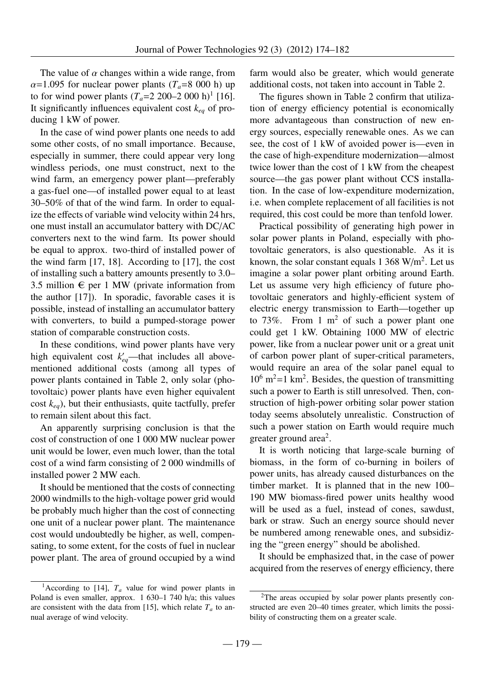The value of  $\alpha$  changes within a wide range, from  $\alpha$ =1.095 for nuclear power plants ( $T_a$ =8 000 h) up to for wind power plants  $(T_a=2\ 200-2\ 000\ h)^1$  [16]. It significantly influences equivalent cost  $k_{eq}$  of producing 1 kW of power.

In the case of wind power plants one needs to add some other costs, of no small importance. Because, especially in summer, there could appear very long windless periods, one must construct, next to the wind farm, an emergency power plant—preferably a gas-fuel one—of installed power equal to at least 30–50% of that of the wind farm. In order to equalize the effects of variable wind velocity within 24 hrs, one must install an accumulator battery with DC/AC converters next to the wind farm. Its power should be equal to approx. two-third of installed power of the wind farm [17, 18]. According to [17], the cost of installing such a battery amounts presently to 3.0– 3.5 million  $\epsilon$  per 1 MW (private information from the author [17]). In sporadic, favorable cases it is possible, instead of installing an accumulator battery with converters, to build a pumped-storage power station of comparable construction costs.

In these conditions, wind power plants have very high equivalent cost  $k'_{eq}$ —that includes all abovementioned additional costs (among all types of power plants contained in Table 2, only solar (photovoltaic) power plants have even higher equivalent cost  $k_{eq}$ ), but their enthusiasts, quite tactfully, prefer to remain silent about this fact.

An apparently surprising conclusion is that the cost of construction of one 1 000 MW nuclear power unit would be lower, even much lower, than the total cost of a wind farm consisting of 2 000 windmills of installed power 2 MW each.

It should be mentioned that the costs of connecting 2000 windmills to the high-voltage power grid would be probably much higher than the cost of connecting one unit of a nuclear power plant. The maintenance cost would undoubtedly be higher, as well, compensating, to some extent, for the costs of fuel in nuclear power plant. The area of ground occupied by a wind farm would also be greater, which would generate additional costs, not taken into account in Table 2.

The figures shown in Table 2 confirm that utilization of energy efficiency potential is economically more advantageous than construction of new energy sources, especially renewable ones. As we can see, the cost of 1 kW of avoided power is—even in the case of high-expenditure modernization—almost twice lower than the cost of 1 kW from the cheapest source—the gas power plant without CCS installation. In the case of low-expenditure modernization, i.e. when complete replacement of all facilities is not required, this cost could be more than tenfold lower.

Practical possibility of generating high power in solar power plants in Poland, especially with photovoltaic generators, is also questionable. As it is known, the solar constant equals  $1\,368 \text{ W/m}^2$ . Let us imagine a solar power plant orbiting around Earth. Let us assume very high efficiency of future photovoltaic generators and highly-efficient system of electric energy transmission to Earth—together up to 73%. From 1  $m<sup>2</sup>$  of such a power plant one could get 1 kW. Obtaining 1000 MW of electric power, like from a nuclear power unit or a great unit of carbon power plant of super-critical parameters, would require an area of the solar panel equal to  $10^6$  m<sup>2</sup>=1 km<sup>2</sup>. Besides, the question of transmitting such a power to Earth is still unresolved. Then, construction of high-power orbiting solar power station today seems absolutely unrealistic. Construction of such a power station on Earth would require much greater ground area<sup>2</sup>.

It is worth noticing that large-scale burning of biomass, in the form of co-burning in boilers of power units, has already caused disturbances on the timber market. It is planned that in the new 100– 190 MW biomass-fired power units healthy wood will be used as a fuel, instead of cones, sawdust, bark or straw. Such an energy source should never be numbered among renewable ones, and subsidizing the "green energy" should be abolished.

It should be emphasized that, in the case of power acquired from the reserves of energy efficiency, there

<sup>&</sup>lt;sup>1</sup>According to [14],  $T_a$  value for wind power plants in Poland is even smaller, approx. 1 630–1 740 h/a; this values are consistent with the data from [15], which relate  $T_a$  to annual average of wind velocity.

<sup>&</sup>lt;sup>2</sup>The areas occupied by solar power plants presently constructed are even 20–40 times greater, which limits the possibility of constructing them on a greater scale.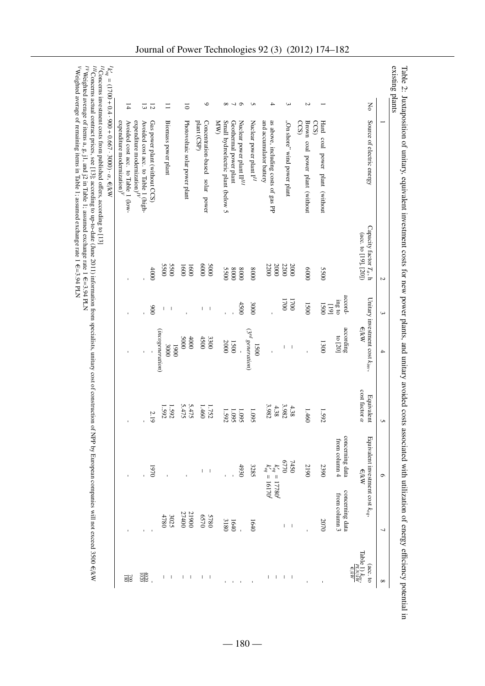| $\circ$<br>No<br>${}^{\circ}$<br>ە ب<br>S<br>4<br>ယ<br>N<br>$\overline{4}$<br>13<br>12<br>Ξ<br>$\overline{\circ}$<br>Source of electric energy<br>$\exp$ expenditure modernization)<br>V<br>expenditure modernization) $^{IV}$<br>Gas power plant (without CCS)<br>plant (CSP)<br><b>KW</b><br>Small hydroelectric plant (below 5<br>Nuclear power plant $\Pi^{III}$<br>Nuclear power plant $I^H$<br>and accumulator battery<br>as above, including costs of gas PP<br>"On shore" wind power plant<br>Avoided cost acc. to Table 1 (low-<br>Avoided cost acc. to Table 1 (high-<br>Biomass power plant<br>Photovoltaic solar power plant<br>Concentration-based solar power<br>Geothermal power plant<br>CCS<br>Brown coal power plant (without<br>CCS<br>Hard coal power plant (without<br>Capacity factor $T_a$ , h<br>$(\sec \tan 19, 20)$<br><b>5500</b><br><b>5500</b><br>0009<br>2200<br>2200<br>0009<br>2000<br>2000<br>1600<br>1600<br>4000<br>0008<br>0009<br>5500<br>0008<br>0008<br><b>5500</b><br>accord-<br>Unitary investment cost $k_{inv}$ ,<br>1700<br>1700<br>ing to<br>4500<br>3000<br>1500<br>00S <sub>I</sub><br>$[61]$<br>006<br>$\mathbb{I}=\mathbb{I}$<br>$\overline{\phantom{a}}$<br>T<br>€/kW<br>according<br>(incogeneration)<br>3rd<br>to $[20]$<br><b>2000</b><br>4500<br>0000<br>3300<br>generation)<br>2000<br>1500<br>1300<br>1500<br>3000<br>0061<br>$\,$ $\,$<br>$\mathsf I$<br>ï<br>$cost$ tactor $\alpha$<br>Equivalent<br>5.475<br>3.982<br>3.982<br>5.475<br>4.38<br>4.38<br>1.592<br>1.592<br>1.460<br>1.752<br>1.095<br>1.460<br>1.095<br>1.095<br>1.592<br>1.592<br>2.19<br>concerning data<br>Equivalent investment cost $k_{eq}$ ,<br>from column 4<br>0770<br><b>7450</b><br>3285<br>2190<br>2390<br>4930<br>$\begin{aligned} k'_{eq} &= 17780^{\prime}\\ k'_{eq} &= 16170^{\prime}\\ \end{aligned}$<br>0261<br>€/kW<br>$\overline{\phantom{a}}$<br>concerning data<br>from column 3<br>27400<br>21900<br>4780<br>0230<br><b>5780</b><br>3025<br>3180<br>2070<br>1640<br>1640<br>$\mathsf I$<br>$\overline{\phantom{a}}$<br>$\frac{\text{Table 1) } k_{\text{av}}}{\text{PLWRW}}$ |  | $\sim$ | $\mathbf{\omega}$ | 4 | S | ç | 7 |                    |
|-------------------------------------------------------------------------------------------------------------------------------------------------------------------------------------------------------------------------------------------------------------------------------------------------------------------------------------------------------------------------------------------------------------------------------------------------------------------------------------------------------------------------------------------------------------------------------------------------------------------------------------------------------------------------------------------------------------------------------------------------------------------------------------------------------------------------------------------------------------------------------------------------------------------------------------------------------------------------------------------------------------------------------------------------------------------------------------------------------------------------------------------------------------------------------------------------------------------------------------------------------------------------------------------------------------------------------------------------------------------------------------------------------------------------------------------------------------------------------------------------------------------------------------------------------------------------------------------------------------------------------------------------------------------------------------------------------------------------------------------------------------------------------------------------------------------------------------------------------------------------------------------------------------------------------------------------------------------------------------------------------------------------------------------------------------------------------------------------------------------------------|--|--------|-------------------|---|---|---|---|--------------------|
| $rac{1}{1020}$                                                                                                                                                                                                                                                                                                                                                                                                                                                                                                                                                                                                                                                                                                                                                                                                                                                                                                                                                                                                                                                                                                                                                                                                                                                                                                                                                                                                                                                                                                                                                                                                                                                                                                                                                                                                                                                                                                                                                                                                                                                                                                                |  |        |                   |   |   |   |   | $(\text{acc. to})$ |
|                                                                                                                                                                                                                                                                                                                                                                                                                                                                                                                                                                                                                                                                                                                                                                                                                                                                                                                                                                                                                                                                                                                                                                                                                                                                                                                                                                                                                                                                                                                                                                                                                                                                                                                                                                                                                                                                                                                                                                                                                                                                                                                               |  |        |                   |   |   |   |   |                    |
|                                                                                                                                                                                                                                                                                                                                                                                                                                                                                                                                                                                                                                                                                                                                                                                                                                                                                                                                                                                                                                                                                                                                                                                                                                                                                                                                                                                                                                                                                                                                                                                                                                                                                                                                                                                                                                                                                                                                                                                                                                                                                                                               |  |        |                   |   |   |   |   |                    |
|                                                                                                                                                                                                                                                                                                                                                                                                                                                                                                                                                                                                                                                                                                                                                                                                                                                                                                                                                                                                                                                                                                                                                                                                                                                                                                                                                                                                                                                                                                                                                                                                                                                                                                                                                                                                                                                                                                                                                                                                                                                                                                                               |  |        |                   |   |   |   |   |                    |
|                                                                                                                                                                                                                                                                                                                                                                                                                                                                                                                                                                                                                                                                                                                                                                                                                                                                                                                                                                                                                                                                                                                                                                                                                                                                                                                                                                                                                                                                                                                                                                                                                                                                                                                                                                                                                                                                                                                                                                                                                                                                                                                               |  |        |                   |   |   |   |   |                    |
|                                                                                                                                                                                                                                                                                                                                                                                                                                                                                                                                                                                                                                                                                                                                                                                                                                                                                                                                                                                                                                                                                                                                                                                                                                                                                                                                                                                                                                                                                                                                                                                                                                                                                                                                                                                                                                                                                                                                                                                                                                                                                                                               |  |        |                   |   |   |   |   |                    |
|                                                                                                                                                                                                                                                                                                                                                                                                                                                                                                                                                                                                                                                                                                                                                                                                                                                                                                                                                                                                                                                                                                                                                                                                                                                                                                                                                                                                                                                                                                                                                                                                                                                                                                                                                                                                                                                                                                                                                                                                                                                                                                                               |  |        |                   |   |   |   |   |                    |
|                                                                                                                                                                                                                                                                                                                                                                                                                                                                                                                                                                                                                                                                                                                                                                                                                                                                                                                                                                                                                                                                                                                                                                                                                                                                                                                                                                                                                                                                                                                                                                                                                                                                                                                                                                                                                                                                                                                                                                                                                                                                                                                               |  |        |                   |   |   |   |   |                    |
|                                                                                                                                                                                                                                                                                                                                                                                                                                                                                                                                                                                                                                                                                                                                                                                                                                                                                                                                                                                                                                                                                                                                                                                                                                                                                                                                                                                                                                                                                                                                                                                                                                                                                                                                                                                                                                                                                                                                                                                                                                                                                                                               |  |        |                   |   |   |   |   |                    |
|                                                                                                                                                                                                                                                                                                                                                                                                                                                                                                                                                                                                                                                                                                                                                                                                                                                                                                                                                                                                                                                                                                                                                                                                                                                                                                                                                                                                                                                                                                                                                                                                                                                                                                                                                                                                                                                                                                                                                                                                                                                                                                                               |  |        |                   |   |   |   |   |                    |
|                                                                                                                                                                                                                                                                                                                                                                                                                                                                                                                                                                                                                                                                                                                                                                                                                                                                                                                                                                                                                                                                                                                                                                                                                                                                                                                                                                                                                                                                                                                                                                                                                                                                                                                                                                                                                                                                                                                                                                                                                                                                                                                               |  |        |                   |   |   |   |   |                    |
|                                                                                                                                                                                                                                                                                                                                                                                                                                                                                                                                                                                                                                                                                                                                                                                                                                                                                                                                                                                                                                                                                                                                                                                                                                                                                                                                                                                                                                                                                                                                                                                                                                                                                                                                                                                                                                                                                                                                                                                                                                                                                                                               |  |        |                   |   |   |   |   | $\sf I$            |
|                                                                                                                                                                                                                                                                                                                                                                                                                                                                                                                                                                                                                                                                                                                                                                                                                                                                                                                                                                                                                                                                                                                                                                                                                                                                                                                                                                                                                                                                                                                                                                                                                                                                                                                                                                                                                                                                                                                                                                                                                                                                                                                               |  |        |                   |   |   |   |   |                    |
|                                                                                                                                                                                                                                                                                                                                                                                                                                                                                                                                                                                                                                                                                                                                                                                                                                                                                                                                                                                                                                                                                                                                                                                                                                                                                                                                                                                                                                                                                                                                                                                                                                                                                                                                                                                                                                                                                                                                                                                                                                                                                                                               |  |        |                   |   |   |   |   | $\frac{200}{180}$  |

Concerns actual contract prices, see [13]; according to up-to-date (June 2011) information from specialists, unitary cost of construction of NPP by European companies will not exceed 3500 €/kW *IV*Weighted average of items  $a, g, j1, and j2$  in Table 1; assumed exchange rate 1 ጠ<br>ዘ 3.94 PLN

3.94 PLN

ጠ<br>ዘ

Weighted average of remaining items in Table 1; assumed exchange rate 1

*V*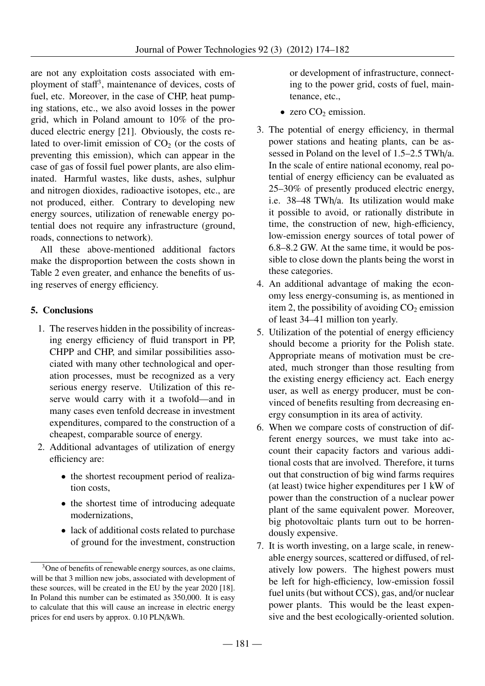are not any exploitation costs associated with employment of staff 3 , maintenance of devices, costs of fuel, etc. Moreover, in the case of CHP, heat pumping stations, etc., we also avoid losses in the power grid, which in Poland amount to 10% of the produced electric energy [21]. Obviously, the costs related to over-limit emission of  $CO<sub>2</sub>$  (or the costs of preventing this emission), which can appear in the case of gas of fossil fuel power plants, are also eliminated. Harmful wastes, like dusts, ashes, sulphur and nitrogen dioxides, radioactive isotopes, etc., are not produced, either. Contrary to developing new energy sources, utilization of renewable energy potential does not require any infrastructure (ground, roads, connections to network).

All these above-mentioned additional factors make the disproportion between the costs shown in Table 2 even greater, and enhance the benefits of using reserves of energy efficiency.

# 5. Conclusions

- 1. The reserves hidden in the possibility of increasing energy efficiency of fluid transport in PP, CHPP and CHP, and similar possibilities associated with many other technological and operation processes, must be recognized as a very serious energy reserve. Utilization of this reserve would carry with it a twofold—and in many cases even tenfold decrease in investment expenditures, compared to the construction of a cheapest, comparable source of energy.
- 2. Additional advantages of utilization of energy efficiency are:
	- the shortest recoupment period of realization costs,
	- the shortest time of introducing adequate modernizations,
	- lack of additional costs related to purchase of ground for the investment, construction

or development of infrastructure, connecting to the power grid, costs of fuel, maintenance, etc.,

- zero  $CO<sub>2</sub>$  emission.
- 3. The potential of energy efficiency, in thermal power stations and heating plants, can be assessed in Poland on the level of 1.5–2.5 TWh/a. In the scale of entire national economy, real potential of energy efficiency can be evaluated as 25–30% of presently produced electric energy, i.e. 38–48 TWh/a. Its utilization would make it possible to avoid, or rationally distribute in time, the construction of new, high-efficiency, low-emission energy sources of total power of 6.8–8.2 GW. At the same time, it would be possible to close down the plants being the worst in these categories.
- 4. An additional advantage of making the economy less energy-consuming is, as mentioned in item 2, the possibility of avoiding  $CO<sub>2</sub>$  emission of least 34–41 million ton yearly.
- 5. Utilization of the potential of energy efficiency should become a priority for the Polish state. Appropriate means of motivation must be created, much stronger than those resulting from the existing energy efficiency act. Each energy user, as well as energy producer, must be convinced of benefits resulting from decreasing energy consumption in its area of activity.
- 6. When we compare costs of construction of different energy sources, we must take into account their capacity factors and various additional costs that are involved. Therefore, it turns out that construction of big wind farms requires (at least) twice higher expenditures per 1 kW of power than the construction of a nuclear power plant of the same equivalent power. Moreover, big photovoltaic plants turn out to be horrendously expensive.
- 7. It is worth investing, on a large scale, in renewable energy sources, scattered or diffused, of relatively low powers. The highest powers must be left for high-efficiency, low-emission fossil fuel units (but without CCS), gas, and/or nuclear power plants. This would be the least expensive and the best ecologically-oriented solution.

<sup>&</sup>lt;sup>3</sup>One of benefits of renewable energy sources, as one claims, will be that 3 million new jobs, associated with development of these sources, will be created in the EU by the year 2020 [18]. In Poland this number can be estimated as 350,000. It is easy to calculate that this will cause an increase in electric energy prices for end users by approx. 0.10 PLN/kWh.